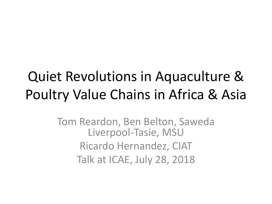# Quiet Revolutions in Aquaculture & Poultry Value Chains in Africa & Asia

Tom Reardon, Ben Belton, Saweda Liverpool-Tasie, MSU Ricardo Hernandez, CIAT Talk at ICAE, July 28, 2018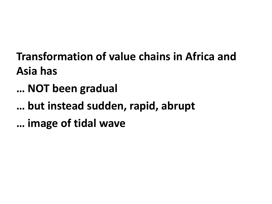**Transformation of value chains in Africa and Asia has** 

**… NOT been gradual**

## **… but instead sudden, rapid, abrupt**

**… image of tidal wave**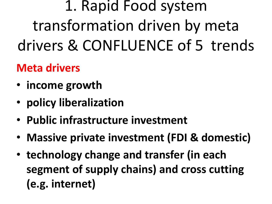# 1. Rapid Food system transformation driven by meta drivers & CONFLUENCE of 5 trends

#### **Meta drivers**

- **income** growth
- **policy liberalization**
- Public infrastructure investment
- Massive private investment (FDI & domestic)
- technology change and transfer (in each segment of supply chains) and cross cutting **(e.g. internet)**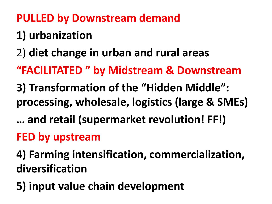#### **PULLED** by Downstream demand

### **1) urbanization**

#### 2) **diet change in urban and rural areas**

#### **"FACILITATED" by Midstream & Downstream**

- **3) Transformation of the "Hidden Middle": processing, wholesale, logistics (large & SMEs)**
- **… and retail (supermarket revolution! FF!)**

#### **FED by upstream**

- **4) Farming intensification, commercialization, diversification**
- **5) input value chain development**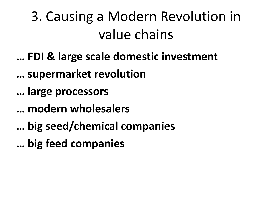3. Causing a Modern Revolution in value chains

**… FDI & large scale domestic investment**

**… supermarket revolution**

**… large processors**

**… modern wholesalers**

**… big seed/chemical companies**

**… big feed companies**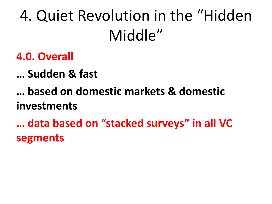# 4. Quiet Revolution in the "Hidden Middle"

**4.0. Overall**

**… Sudden & fast**

**… based on domestic markets & domestic investments**

**… data based on "stacked surveys" in all VC segments**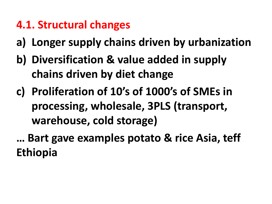#### **4.1. Structural changes**

- **a) Longer supply chains driven by urbanization**
- **b)** Diversification & value added in supply **chains driven by diet change**
- **c) Proliferation of 10's of 1000's of SMEs in**  processing, wholesale, 3PLS (transport, **warehouse, cold storage)**

**… Bart gave examples potato & rice Asia, teff Ethiopia**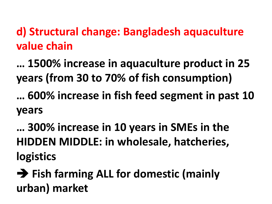#### d) Structural change: Bangladesh aquaculture **value chain**

**… 1500% increase in aquaculture product in 25 years (from 30 to 70% of fish consumption)** 

**... 600% increase in fish feed segment in past 10 years**

**…** 300% increase in 10 years in SMEs in the **HIDDEN MIDDLE: in wholesale, hatcheries, logistics** 

 $\rightarrow$  **Fish farming ALL for domestic (mainly urban) market**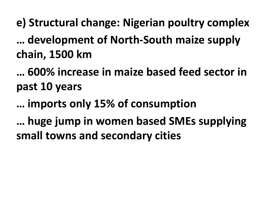**e) Structural change: Nigerian poultry complex**

**… development of North-South maize supply chain, 1500 km**

**… 600% increase in maize based feed sector in past 10 years**

**… imports only 15% of consumption**

**... huge jump in women based SMEs supplying small towns and secondary cities**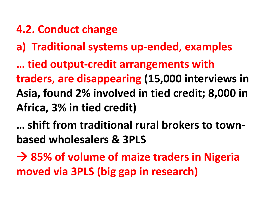#### **4.2. Conduct change**

**a) Traditional systems up-ended, examples**

**... tied output-credit arrangements with traders, are disappearing (15,000 interviews in** Asia, found 2% involved in tied credit; 8,000 in Africa, 3% in tied credit)

**… shift from traditional rural brokers to townbased wholesalers & 3PLS**

 $\rightarrow$  85% of volume of maize traders in Nigeria moved via 3PLS (big gap in research)